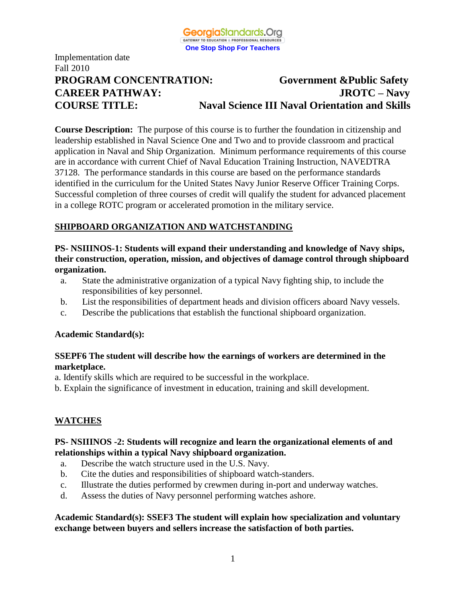

# Implementation date Fall 2010 **PROGRAM CONCENTRATION: Government &Public Safety CAREER PATHWAY: JROTC – Navy COURSE TITLE: Naval Science III Naval Orientation and Skills**

**Course Description:** The purpose of this course is to further the foundation in citizenship and leadership established in Naval Science One and Two and to provide classroom and practical application in Naval and Ship Organization. Minimum performance requirements of this course are in accordance with current Chief of Naval Education Training Instruction, NAVEDTRA 37128. The performance standards in this course are based on the performance standards identified in the curriculum for the United States Navy Junior Reserve Officer Training Corps. Successful completion of three courses of credit will qualify the student for advanced placement in a college ROTC program or accelerated promotion in the military service.

## **SHIPBOARD ORGANIZATION AND WATCHSTANDING**

**PS- NSIIINOS-1: Students will expand their understanding and knowledge of Navy ships, their construction, operation, mission, and objectives of damage control through shipboard organization.**

- a. State the administrative organization of a typical Navy fighting ship, to include the responsibilities of key personnel.
- b. List the responsibilities of department heads and division officers aboard Navy vessels.
- c. Describe the publications that establish the functional shipboard organization.

#### **Academic Standard(s):**

#### **SSEPF6 The student will describe how the earnings of workers are determined in the marketplace.**

- a. Identify skills which are required to be successful in the workplace.
- b. Explain the significance of investment in education, training and skill development.

## **WATCHES**

#### **PS- NSIIINOS -2: Students will recognize and learn the organizational elements of and relationships within a typical Navy shipboard organization.**

- a. Describe the watch structure used in the U.S. Navy.
- b. Cite the duties and responsibilities of shipboard watch-standers.
- c. Illustrate the duties performed by crewmen during in-port and underway watches.
- d. Assess the duties of Navy personnel performing watches ashore.

#### **Academic Standard(s): SSEF3 The student will explain how specialization and voluntary exchange between buyers and sellers increase the satisfaction of both parties.**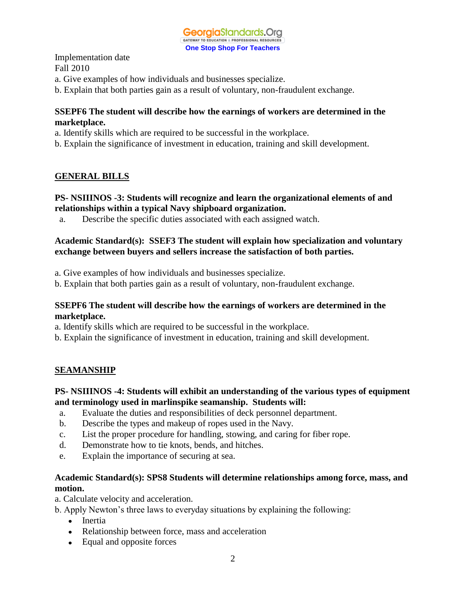

- a. Give examples of how individuals and businesses specialize.
- b. Explain that both parties gain as a result of voluntary, non-fraudulent exchange.

#### **SSEPF6 The student will describe how the earnings of workers are determined in the marketplace.**

- a. Identify skills which are required to be successful in the workplace.
- b. Explain the significance of investment in education, training and skill development.

#### **GENERAL BILLS**

#### **PS- NSIIINOS -3: Students will recognize and learn the organizational elements of and relationships within a typical Navy shipboard organization.**

a. Describe the specific duties associated with each assigned watch.

#### **Academic Standard(s): SSEF3 The student will explain how specialization and voluntary exchange between buyers and sellers increase the satisfaction of both parties.**

- a. Give examples of how individuals and businesses specialize.
- b. Explain that both parties gain as a result of voluntary, non-fraudulent exchange.

#### **SSEPF6 The student will describe how the earnings of workers are determined in the marketplace.**

- a. Identify skills which are required to be successful in the workplace.
- b. Explain the significance of investment in education, training and skill development.

#### **SEAMANSHIP**

#### **PS- NSIIINOS -4: Students will exhibit an understanding of the various types of equipment and terminology used in marlinspike seamanship. Students will:**

- a. Evaluate the duties and responsibilities of deck personnel department.
- b. Describe the types and makeup of ropes used in the Navy.
- c. List the proper procedure for handling, stowing, and caring for fiber rope.
- d. Demonstrate how to tie knots, bends, and hitches.
- e. Explain the importance of securing at sea.

## **Academic Standard(s): SPS8 Students will determine relationships among force, mass, and motion.**

a. Calculate velocity and acceleration.

b. Apply Newton's three laws to everyday situations by explaining the following:

- Inertia
- Relationship between force, mass and acceleration
- Equal and opposite forces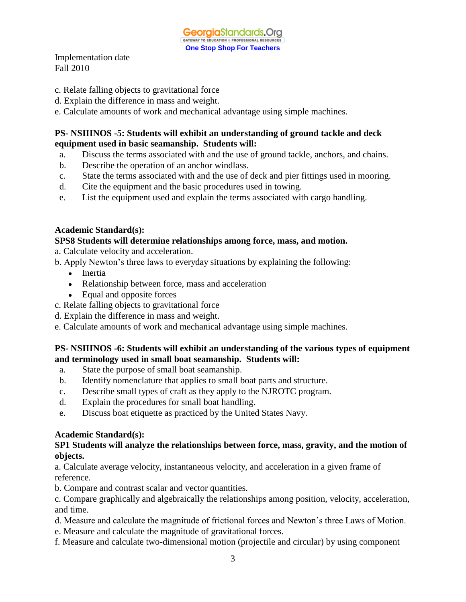- c. Relate falling objects to gravitational force
- d. Explain the difference in mass and weight.
- e. Calculate amounts of work and mechanical advantage using simple machines.

### **PS- NSIIINOS -5: Students will exhibit an understanding of ground tackle and deck equipment used in basic seamanship. Students will:**

- a. Discuss the terms associated with and the use of ground tackle, anchors, and chains.
- b. Describe the operation of an anchor windlass.
- c. State the terms associated with and the use of deck and pier fittings used in mooring.
- d. Cite the equipment and the basic procedures used in towing.
- e. List the equipment used and explain the terms associated with cargo handling.

#### **Academic Standard(s):**

#### **SPS8 Students will determine relationships among force, mass, and motion.**

a. Calculate velocity and acceleration.

- b. Apply Newton's three laws to everyday situations by explaining the following:
	- Inertia
	- Relationship between force, mass and acceleration
	- $\bullet$ Equal and opposite forces
- c. Relate falling objects to gravitational force
- d. Explain the difference in mass and weight.
- e. Calculate amounts of work and mechanical advantage using simple machines.

## **PS- NSIIINOS -6: Students will exhibit an understanding of the various types of equipment and terminology used in small boat seamanship. Students will:**

- a. State the purpose of small boat seamanship.
- b. Identify nomenclature that applies to small boat parts and structure.
- c. Describe small types of craft as they apply to the NJROTC program.
- d. Explain the procedures for small boat handling.
- e. Discuss boat etiquette as practiced by the United States Navy.

#### **Academic Standard(s):**

#### **SP1 Students will analyze the relationships between force, mass, gravity, and the motion of objects.**

a. Calculate average velocity, instantaneous velocity, and acceleration in a given frame of reference.

- b. Compare and contrast scalar and vector quantities.
- c. Compare graphically and algebraically the relationships among position, velocity, acceleration, and time.
- d. Measure and calculate the magnitude of frictional forces and Newton's three Laws of Motion.
- e. Measure and calculate the magnitude of gravitational forces.
- f. Measure and calculate two-dimensional motion (projectile and circular) by using component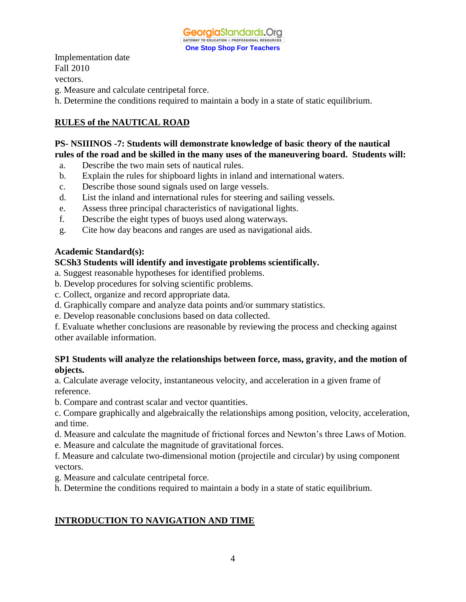

Implementation date Fall 2010 vectors.

g. Measure and calculate centripetal force.

h. Determine the conditions required to maintain a body in a state of static equilibrium.

# **RULES of the NAUTICAL ROAD**

## **PS- NSIIINOS -7: Students will demonstrate knowledge of basic theory of the nautical rules of the road and be skilled in the many uses of the maneuvering board. Students will:**

- a. Describe the two main sets of nautical rules.
- b. Explain the rules for shipboard lights in inland and international waters.
- c. Describe those sound signals used on large vessels.
- d. List the inland and international rules for steering and sailing vessels.
- e. Assess three principal characteristics of navigational lights.
- f. Describe the eight types of buoys used along waterways.
- g. Cite how day beacons and ranges are used as navigational aids.

## **Academic Standard(s):**

## **SCSh3 Students will identify and investigate problems scientifically.**

a. Suggest reasonable hypotheses for identified problems.

- b. Develop procedures for solving scientific problems.
- c. Collect, organize and record appropriate data.
- d. Graphically compare and analyze data points and/or summary statistics.
- e. Develop reasonable conclusions based on data collected.

f. Evaluate whether conclusions are reasonable by reviewing the process and checking against other available information.

## **SP1 Students will analyze the relationships between force, mass, gravity, and the motion of objects.**

a. Calculate average velocity, instantaneous velocity, and acceleration in a given frame of reference.

b. Compare and contrast scalar and vector quantities.

c. Compare graphically and algebraically the relationships among position, velocity, acceleration, and time.

- d. Measure and calculate the magnitude of frictional forces and Newton's three Laws of Motion.
- e. Measure and calculate the magnitude of gravitational forces.

f. Measure and calculate two-dimensional motion (projectile and circular) by using component vectors.

- g. Measure and calculate centripetal force.
- h. Determine the conditions required to maintain a body in a state of static equilibrium.

# **INTRODUCTION TO NAVIGATION AND TIME**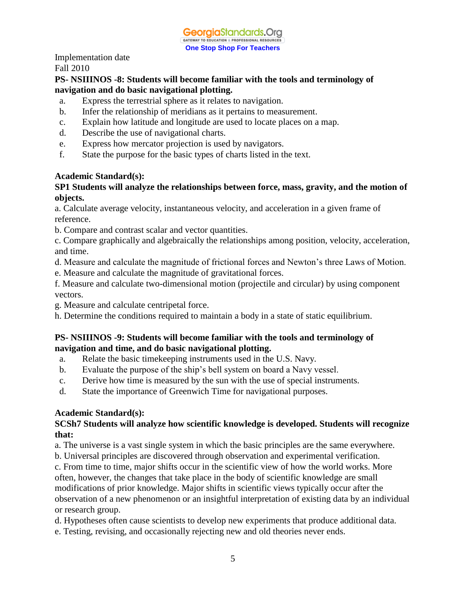## **PS- NSIIINOS -8: Students will become familiar with the tools and terminology of navigation and do basic navigational plotting.**

- a. Express the terrestrial sphere as it relates to navigation.
- b. Infer the relationship of meridians as it pertains to measurement.
- c. Explain how latitude and longitude are used to locate places on a map.
- d. Describe the use of navigational charts.
- e. Express how mercator projection is used by navigators.
- f. State the purpose for the basic types of charts listed in the text.

## **Academic Standard(s):**

### **SP1 Students will analyze the relationships between force, mass, gravity, and the motion of objects.**

a. Calculate average velocity, instantaneous velocity, and acceleration in a given frame of reference.

b. Compare and contrast scalar and vector quantities.

c. Compare graphically and algebraically the relationships among position, velocity, acceleration, and time.

d. Measure and calculate the magnitude of frictional forces and Newton's three Laws of Motion.

e. Measure and calculate the magnitude of gravitational forces.

f. Measure and calculate two-dimensional motion (projectile and circular) by using component vectors.

g. Measure and calculate centripetal force.

h. Determine the conditions required to maintain a body in a state of static equilibrium.

#### **PS- NSIIINOS -9: Students will become familiar with the tools and terminology of navigation and time, and do basic navigational plotting.**

- a. Relate the basic timekeeping instruments used in the U.S. Navy.
- b. Evaluate the purpose of the ship's bell system on board a Navy vessel.
- c. Derive how time is measured by the sun with the use of special instruments.
- d. State the importance of Greenwich Time for navigational purposes.

# **Academic Standard(s):**

## **SCSh7 Students will analyze how scientific knowledge is developed. Students will recognize that:**

a. The universe is a vast single system in which the basic principles are the same everywhere.

b. Universal principles are discovered through observation and experimental verification.

c. From time to time, major shifts occur in the scientific view of how the world works. More often, however, the changes that take place in the body of scientific knowledge are small modifications of prior knowledge. Major shifts in scientific views typically occur after the observation of a new phenomenon or an insightful interpretation of existing data by an individual or research group.

d. Hypotheses often cause scientists to develop new experiments that produce additional data.

e. Testing, revising, and occasionally rejecting new and old theories never ends.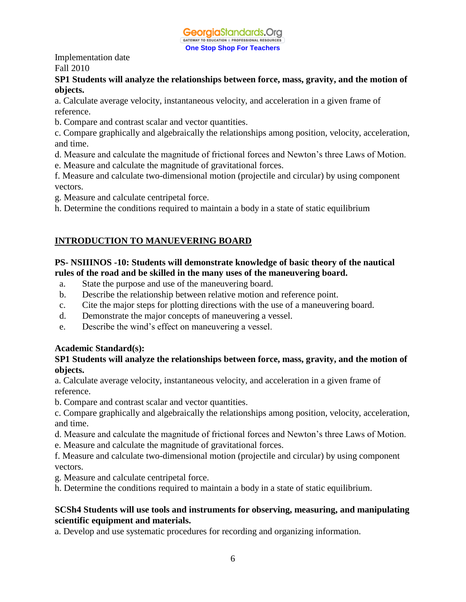

### **SP1 Students will analyze the relationships between force, mass, gravity, and the motion of objects.**

a. Calculate average velocity, instantaneous velocity, and acceleration in a given frame of reference.

b. Compare and contrast scalar and vector quantities.

c. Compare graphically and algebraically the relationships among position, velocity, acceleration, and time.

- d. Measure and calculate the magnitude of frictional forces and Newton's three Laws of Motion.
- e. Measure and calculate the magnitude of gravitational forces.

f. Measure and calculate two-dimensional motion (projectile and circular) by using component vectors.

- g. Measure and calculate centripetal force.
- h. Determine the conditions required to maintain a body in a state of static equilibrium

# **INTRODUCTION TO MANUEVERING BOARD**

## **PS- NSIIINOS -10: Students will demonstrate knowledge of basic theory of the nautical rules of the road and be skilled in the many uses of the maneuvering board.**

- a. State the purpose and use of the maneuvering board.
- b. Describe the relationship between relative motion and reference point.
- c. Cite the major steps for plotting directions with the use of a maneuvering board.
- d. Demonstrate the major concepts of maneuvering a vessel.
- e. Describe the wind's effect on maneuvering a vessel.

## **Academic Standard(s):**

## **SP1 Students will analyze the relationships between force, mass, gravity, and the motion of objects.**

a. Calculate average velocity, instantaneous velocity, and acceleration in a given frame of reference.

- b. Compare and contrast scalar and vector quantities.
- c. Compare graphically and algebraically the relationships among position, velocity, acceleration, and time.
- d. Measure and calculate the magnitude of frictional forces and Newton's three Laws of Motion.
- e. Measure and calculate the magnitude of gravitational forces.
- f. Measure and calculate two-dimensional motion (projectile and circular) by using component vectors.
- g. Measure and calculate centripetal force.
- h. Determine the conditions required to maintain a body in a state of static equilibrium.

## **SCSh4 Students will use tools and instruments for observing, measuring, and manipulating scientific equipment and materials.**

a. Develop and use systematic procedures for recording and organizing information.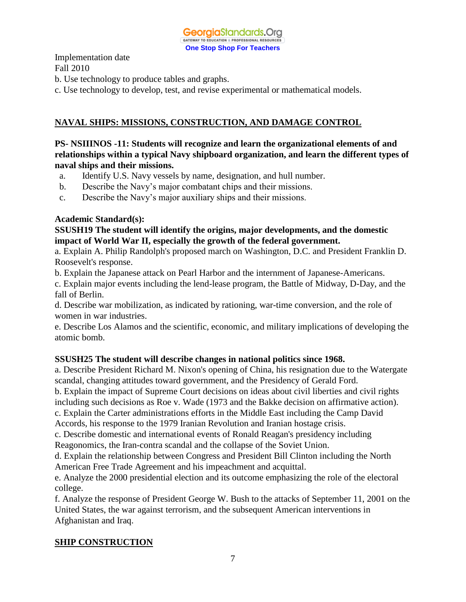

- b. Use technology to produce tables and graphs.
- c. Use technology to develop, test, and revise experimental or mathematical models.

## **NAVAL SHIPS: MISSIONS, CONSTRUCTION, AND DAMAGE CONTROL**

## **PS- NSIIINOS -11: Students will recognize and learn the organizational elements of and relationships within a typical Navy shipboard organization, and learn the different types of naval ships and their missions.**

- a. Identify U.S. Navy vessels by name, designation, and hull number.
- b. Describe the Navy's major combatant chips and their missions.
- c. Describe the Navy's major auxiliary ships and their missions.

#### **Academic Standard(s):**

#### **SSUSH19 The student will identify the origins, major developments, and the domestic impact of World War II, especially the growth of the federal government.**

a. Explain A. Philip Randolph's proposed march on Washington, D.C. and President Franklin D. Roosevelt's response.

b. Explain the Japanese attack on Pearl Harbor and the internment of Japanese-Americans.

c. Explain major events including the lend-lease program, the Battle of Midway, D-Day, and the fall of Berlin.

d. Describe war mobilization, as indicated by rationing, war-time conversion, and the role of women in war industries.

e. Describe Los Alamos and the scientific, economic, and military implications of developing the atomic bomb.

## **SSUSH25 The student will describe changes in national politics since 1968.**

a. Describe President Richard M. Nixon's opening of China, his resignation due to the Watergate scandal, changing attitudes toward government, and the Presidency of Gerald Ford.

b. Explain the impact of Supreme Court decisions on ideas about civil liberties and civil rights including such decisions as Roe v. Wade (1973 and the Bakke decision on affirmative action).

c. Explain the Carter administrations efforts in the Middle East including the Camp David

Accords, his response to the 1979 Iranian Revolution and Iranian hostage crisis.

c. Describe domestic and international events of Ronald Reagan's presidency including Reagonomics, the Iran-contra scandal and the collapse of the Soviet Union.

d. Explain the relationship between Congress and President Bill Clinton including the North American Free Trade Agreement and his impeachment and acquittal.

e. Analyze the 2000 presidential election and its outcome emphasizing the role of the electoral college.

f. Analyze the response of President George W. Bush to the attacks of September 11, 2001 on the United States, the war against terrorism, and the subsequent American interventions in Afghanistan and Iraq.

## **SHIP CONSTRUCTION**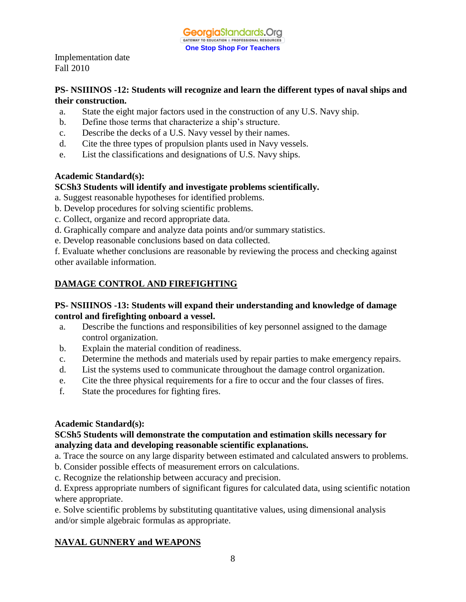## **PS- NSIIINOS -12: Students will recognize and learn the different types of naval ships and their construction.**

- a. State the eight major factors used in the construction of any U.S. Navy ship.
- b. Define those terms that characterize a ship's structure.
- c. Describe the decks of a U.S. Navy vessel by their names.
- d. Cite the three types of propulsion plants used in Navy vessels.
- e. List the classifications and designations of U.S. Navy ships.

## **Academic Standard(s):**

## **SCSh3 Students will identify and investigate problems scientifically.**

a. Suggest reasonable hypotheses for identified problems.

- b. Develop procedures for solving scientific problems.
- c. Collect, organize and record appropriate data.
- d. Graphically compare and analyze data points and/or summary statistics.
- e. Develop reasonable conclusions based on data collected.

f. Evaluate whether conclusions are reasonable by reviewing the process and checking against other available information.

# **DAMAGE CONTROL AND FIREFIGHTING**

## **PS- NSIIINOS -13: Students will expand their understanding and knowledge of damage control and firefighting onboard a vessel.**

- a. Describe the functions and responsibilities of key personnel assigned to the damage control organization.
- b. Explain the material condition of readiness.
- c. Determine the methods and materials used by repair parties to make emergency repairs.
- d. List the systems used to communicate throughout the damage control organization.
- e. Cite the three physical requirements for a fire to occur and the four classes of fires.
- f. State the procedures for fighting fires.

## **Academic Standard(s):**

## **SCSh5 Students will demonstrate the computation and estimation skills necessary for analyzing data and developing reasonable scientific explanations.**

a. Trace the source on any large disparity between estimated and calculated answers to problems.

- b. Consider possible effects of measurement errors on calculations.
- c. Recognize the relationship between accuracy and precision.

d. Express appropriate numbers of significant figures for calculated data, using scientific notation where appropriate.

e. Solve scientific problems by substituting quantitative values, using dimensional analysis and/or simple algebraic formulas as appropriate.

# **NAVAL GUNNERY and WEAPONS**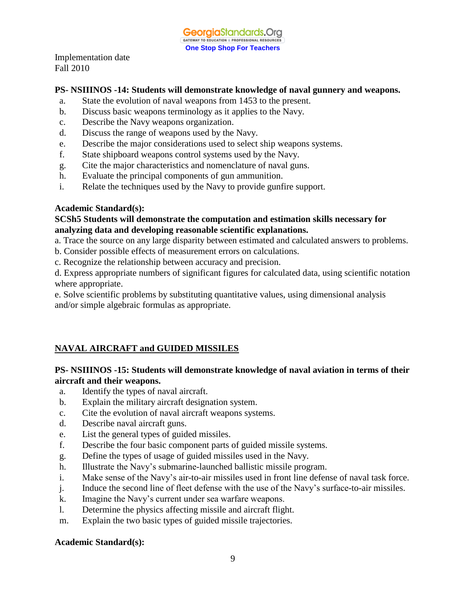## **PS- NSIIINOS -14: Students will demonstrate knowledge of naval gunnery and weapons.**

- a. State the evolution of naval weapons from 1453 to the present.
- b. Discuss basic weapons terminology as it applies to the Navy.
- c. Describe the Navy weapons organization.
- d. Discuss the range of weapons used by the Navy.
- e. Describe the major considerations used to select ship weapons systems.
- f. State shipboard weapons control systems used by the Navy.
- g. Cite the major characteristics and nomenclature of naval guns.
- h. Evaluate the principal components of gun ammunition.
- i. Relate the techniques used by the Navy to provide gunfire support.

#### **Academic Standard(s):**

#### **SCSh5 Students will demonstrate the computation and estimation skills necessary for analyzing data and developing reasonable scientific explanations.**

- a. Trace the source on any large disparity between estimated and calculated answers to problems.
- b. Consider possible effects of measurement errors on calculations.
- c. Recognize the relationship between accuracy and precision.

d. Express appropriate numbers of significant figures for calculated data, using scientific notation where appropriate.

e. Solve scientific problems by substituting quantitative values, using dimensional analysis and/or simple algebraic formulas as appropriate.

# **NAVAL AIRCRAFT and GUIDED MISSILES**

## **PS- NSIIINOS -15: Students will demonstrate knowledge of naval aviation in terms of their aircraft and their weapons.**

- a. Identify the types of naval aircraft.
- b. Explain the military aircraft designation system.
- c. Cite the evolution of naval aircraft weapons systems.
- d. Describe naval aircraft guns.
- e. List the general types of guided missiles.
- f. Describe the four basic component parts of guided missile systems.
- g. Define the types of usage of guided missiles used in the Navy.
- h. Illustrate the Navy's submarine-launched ballistic missile program.
- i. Make sense of the Navy's air-to-air missiles used in front line defense of naval task force.
- j. Induce the second line of fleet defense with the use of the Navy's surface-to-air missiles.
- k. Imagine the Navy's current under sea warfare weapons.
- l. Determine the physics affecting missile and aircraft flight.
- m. Explain the two basic types of guided missile trajectories.

#### **Academic Standard(s):**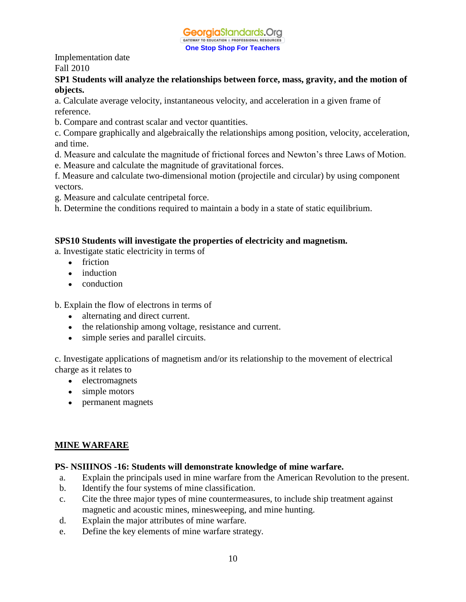

### **SP1 Students will analyze the relationships between force, mass, gravity, and the motion of objects.**

a. Calculate average velocity, instantaneous velocity, and acceleration in a given frame of reference.

b. Compare and contrast scalar and vector quantities.

c. Compare graphically and algebraically the relationships among position, velocity, acceleration, and time.

- d. Measure and calculate the magnitude of frictional forces and Newton's three Laws of Motion.
- e. Measure and calculate the magnitude of gravitational forces.

f. Measure and calculate two-dimensional motion (projectile and circular) by using component vectors.

- g. Measure and calculate centripetal force.
- h. Determine the conditions required to maintain a body in a state of static equilibrium.

# **SPS10 Students will investigate the properties of electricity and magnetism.**

a. Investigate static electricity in terms of

- friction
- induction
- conduction

b. Explain the flow of electrons in terms of

- alternating and direct current.
- the relationship among voltage, resistance and current.
- simple series and parallel circuits.

c. Investigate applications of magnetism and/or its relationship to the movement of electrical charge as it relates to

- electromagnets
- simple motors
- permanent magnets

# **MINE WARFARE**

## **PS- NSIIINOS -16: Students will demonstrate knowledge of mine warfare.**

- a. Explain the principals used in mine warfare from the American Revolution to the present.
- b. Identify the four systems of mine classification.
- c. Cite the three major types of mine countermeasures, to include ship treatment against magnetic and acoustic mines, minesweeping, and mine hunting.
- d. Explain the major attributes of mine warfare.
- e. Define the key elements of mine warfare strategy.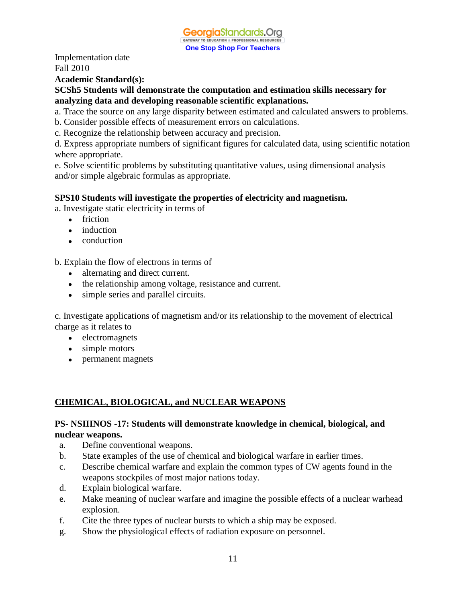

#### **Academic Standard(s):**

#### **SCSh5 Students will demonstrate the computation and estimation skills necessary for analyzing data and developing reasonable scientific explanations.**

- a. Trace the source on any large disparity between estimated and calculated answers to problems.
- b. Consider possible effects of measurement errors on calculations.
- c. Recognize the relationship between accuracy and precision.

d. Express appropriate numbers of significant figures for calculated data, using scientific notation where appropriate.

e. Solve scientific problems by substituting quantitative values, using dimensional analysis and/or simple algebraic formulas as appropriate.

## **SPS10 Students will investigate the properties of electricity and magnetism.**

a. Investigate static electricity in terms of

- friction
- induction
- conduction

b. Explain the flow of electrons in terms of

- alternating and direct current.
- the relationship among voltage, resistance and current.
- simple series and parallel circuits.

c. Investigate applications of magnetism and/or its relationship to the movement of electrical charge as it relates to

- electromagnets
- simple motors
- permanent magnets

## **CHEMICAL, BIOLOGICAL, and NUCLEAR WEAPONS**

#### **PS- NSIIINOS -17: Students will demonstrate knowledge in chemical, biological, and nuclear weapons.**

- a. Define conventional weapons.
- b. State examples of the use of chemical and biological warfare in earlier times.
- c. Describe chemical warfare and explain the common types of CW agents found in the weapons stockpiles of most major nations today.
- d. Explain biological warfare.
- e. Make meaning of nuclear warfare and imagine the possible effects of a nuclear warhead explosion.
- f. Cite the three types of nuclear bursts to which a ship may be exposed.
- g. Show the physiological effects of radiation exposure on personnel.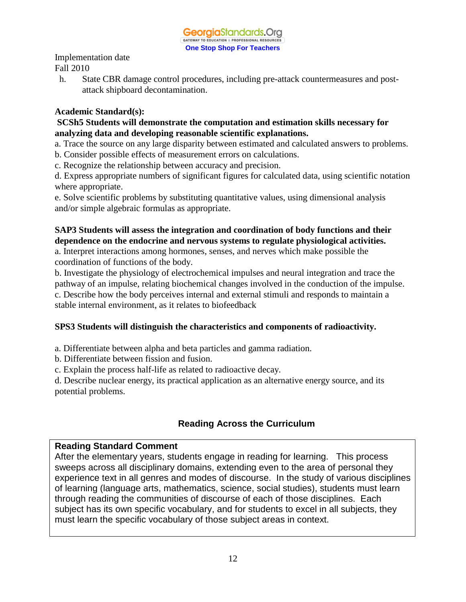h. State CBR damage control procedures, including pre-attack countermeasures and postattack shipboard decontamination.

## **Academic Standard(s):**

## **SCSh5 Students will demonstrate the computation and estimation skills necessary for analyzing data and developing reasonable scientific explanations.**

a. Trace the source on any large disparity between estimated and calculated answers to problems.

b. Consider possible effects of measurement errors on calculations.

c. Recognize the relationship between accuracy and precision.

d. Express appropriate numbers of significant figures for calculated data, using scientific notation where appropriate.

e. Solve scientific problems by substituting quantitative values, using dimensional analysis and/or simple algebraic formulas as appropriate.

# **SAP3 Students will assess the integration and coordination of body functions and their dependence on the endocrine and nervous systems to regulate physiological activities.**

a. Interpret interactions among hormones, senses, and nerves which make possible the coordination of functions of the body.

b. Investigate the physiology of electrochemical impulses and neural integration and trace the pathway of an impulse, relating biochemical changes involved in the conduction of the impulse. c. Describe how the body perceives internal and external stimuli and responds to maintain a stable internal environment, as it relates to biofeedback

# **SPS3 Students will distinguish the characteristics and components of radioactivity.**

a. Differentiate between alpha and beta particles and gamma radiation.

b. Differentiate between fission and fusion.

c. Explain the process half-life as related to radioactive decay.

d. Describe nuclear energy, its practical application as an alternative energy source, and its potential problems.

# **Reading Across the Curriculum**

# **Reading Standard Comment**

After the elementary years, students engage in reading for learning. This process sweeps across all disciplinary domains, extending even to the area of personal they experience text in all genres and modes of discourse. In the study of various disciplines of learning (language arts, mathematics, science, social studies), students must learn through reading the communities of discourse of each of those disciplines. Each subject has its own specific vocabulary, and for students to excel in all subjects, they must learn the specific vocabulary of those subject areas in context.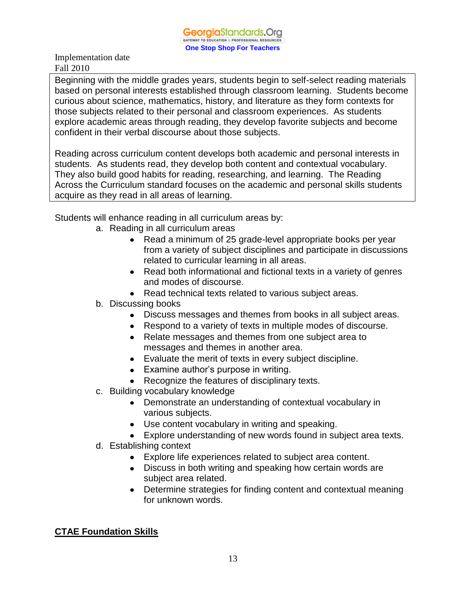Beginning with the middle grades years, students begin to self-select reading materials based on personal interests established through classroom learning. Students become curious about science, mathematics, history, and literature as they form contexts for those subjects related to their personal and classroom experiences. As students explore academic areas through reading, they develop favorite subjects and become confident in their verbal discourse about those subjects.

Reading across curriculum content develops both academic and personal interests in students. As students read, they develop both content and contextual vocabulary. They also build good habits for reading, researching, and learning. The Reading Across the Curriculum standard focuses on the academic and personal skills students acquire as they read in all areas of learning.

Students will enhance reading in all curriculum areas by:

- a. Reading in all curriculum areas
	- Read a minimum of 25 grade-level appropriate books per year  $\bullet$ from a variety of subject disciplines and participate in discussions related to curricular learning in all areas.
	- Read both informational and fictional texts in a variety of genres and modes of discourse.
	- Read technical texts related to various subject areas.
- b. Discussing books
	- Discuss messages and themes from books in all subject areas.
	- Respond to a variety of texts in multiple modes of discourse.
	- Relate messages and themes from one subject area to messages and themes in another area.
	- Evaluate the merit of texts in every subject discipline.
	- Examine author's purpose in writing.
	- Recognize the features of disciplinary texts.
- c. Building vocabulary knowledge
	- Demonstrate an understanding of contextual vocabulary in various subjects.
	- Use content vocabulary in writing and speaking.
	- Explore understanding of new words found in subject area texts.
- d. Establishing context
	- Explore life experiences related to subject area content.
	- Discuss in both writing and speaking how certain words are subject area related.
	- Determine strategies for finding content and contextual meaning for unknown words.

# **CTAE Foundation Skills**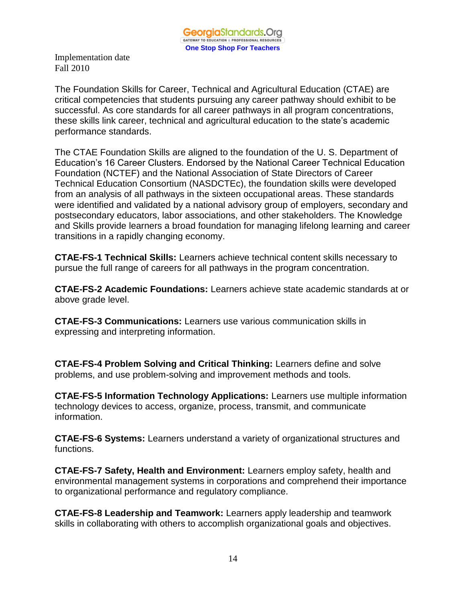The Foundation Skills for Career, Technical and Agricultural Education (CTAE) are critical competencies that students pursuing any career pathway should exhibit to be successful. As core standards for all career pathways in all program concentrations, these skills link career, technical and agricultural education to the state's academic performance standards.

The CTAE Foundation Skills are aligned to the foundation of the U. S. Department of Education's 16 Career Clusters. Endorsed by the National Career Technical Education Foundation (NCTEF) and the National Association of State Directors of Career Technical Education Consortium (NASDCTEc), the foundation skills were developed from an analysis of all pathways in the sixteen occupational areas. These standards were identified and validated by a national advisory group of employers, secondary and postsecondary educators, labor associations, and other stakeholders. The Knowledge and Skills provide learners a broad foundation for managing lifelong learning and career transitions in a rapidly changing economy.

**CTAE-FS-1 Technical Skills:** Learners achieve technical content skills necessary to pursue the full range of careers for all pathways in the program concentration.

**CTAE-FS-2 Academic Foundations:** Learners achieve state academic standards at or above grade level.

**CTAE-FS-3 Communications:** Learners use various communication skills in expressing and interpreting information.

**CTAE-FS-4 Problem Solving and Critical Thinking:** Learners define and solve problems, and use problem-solving and improvement methods and tools.

**CTAE-FS-5 Information Technology Applications:** Learners use multiple information technology devices to access, organize, process, transmit, and communicate information.

**CTAE-FS-6 Systems:** Learners understand a variety of organizational structures and functions.

**CTAE-FS-7 Safety, Health and Environment:** Learners employ safety, health and environmental management systems in corporations and comprehend their importance to organizational performance and regulatory compliance.

**CTAE-FS-8 Leadership and Teamwork:** Learners apply leadership and teamwork skills in collaborating with others to accomplish organizational goals and objectives.